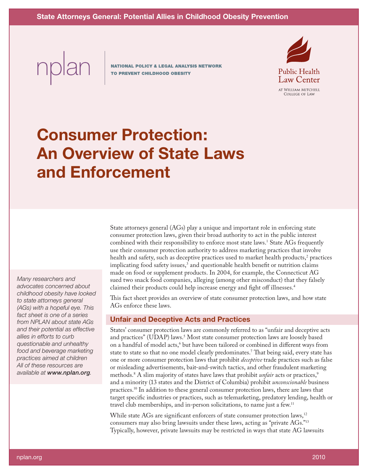nplan

**NATIONAL POLICY & LEGAL ANALYSIS NETWORK** TO PREVENT CHILDHOOD OBESITY



# **Consumer Protection: An Overview of State Laws and Enforcement**

*Many researchers and advocates concerned about childhood obesity have looked to state attorneys general (AGs) with a hopeful eye. This fact sheet is one of a series from NPLAN about state AGs and their potential as effective allies in efforts to curb questionable and unhealthy food and beverage marketing practices aimed at children All of these resources are available at www.nplan.org.*

State attorneys general (AGs) play a unique and important role in enforcing state consumer protection laws, given their broad authority to act in the public interest combined with their responsibility to enforce most state laws.<sup>1</sup> State AGs frequently use their consumer protection authority to address marketing practices that involve health and safety, such as deceptive practices used to market health products,<sup>2</sup> practices implicating food safety issues,<sup>3</sup> and questionable health benefit or nutrition claims made on food or supplement products. In 2004, for example, the Connecticut AG sued two snack food companies, alleging (among other misconduct) that they falsely claimed their products could help increase energy and fight off illnesses.<sup>4</sup>

This fact sheet provides an overview of state consumer protection laws, and how state AGs enforce these laws.

## **Unfair and Deceptive Acts and Practices**

States' consumer protection laws are commonly referred to as "unfair and deceptive acts and practices" (UDAP) laws.<sup>5</sup> Most state consumer protection laws are loosely based on a handful of model acts,<sup>6</sup> but have been tailored or combined in different ways from state to state so that no one model clearly predominates.<sup>7</sup> That being said, every state has one or more consumer protection laws that prohibit *deceptive* trade practices such as false or misleading advertisements, bait-and-switch tactics, and other fraudulent marketing methods.<sup>8</sup> A slim majority of states have laws that prohibit *unfair* acts or practices,<sup>9</sup> and a minority (13 states and the District of Columbia) prohibit *unconscionable* business practices.<sup>10</sup> In addition to these general consumer protection laws, there are laws that target specific industries or practices, such as telemarketing, predatory lending, health or travel club memberships, and in-person solicitations, to name just a few.<sup>11</sup>

While state AGs are significant enforcers of state consumer protection laws,<sup>12</sup> consumers may also bring lawsuits under these laws, acting as "private AGs."<sup>13</sup> Typically, however, private lawsuits may be restricted in ways that state AG lawsuits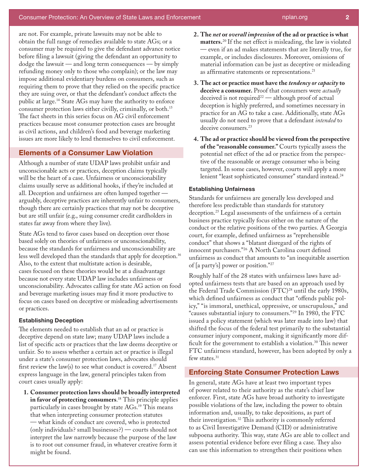are not. For example, private lawsuits may not be able to obtain the full range of remedies available to state AGs; or a consumer may be required to give the defendant advance notice before filing a lawsuit (giving the defendant an opportunity to dodge the lawsuit — and long term consequences — by simply refunding money only to those who complain); or the law may impose additional evidentiary burdens on consumers, such as requiring them to prove that they relied on the specific practice they are suing over, or that the defendant's conduct affects the public at large.<sup>14</sup> State AGs may have the authority to enforce consumer protection laws either civilly, criminally, or both.<sup>15</sup> The fact sheets in this series focus on AG civil enforcement practices because most consumer protection cases are brought as civil actions, and children's food and beverage marketing issues are more likely to lend themselves to civil enforcement.

## **Elements of a Consumer Law Violation**

Although a number of state UDAP laws prohibit unfair and unconscionable acts or practices, deception claims typically will be the heart of a case. Unfairness or unconscionability claims usually serve as additional hooks, if they're included at all. Deception and unfairness are often lumped together arguably, deceptive practices are inherently unfair to consumers, though there are certainly practices that may not be deceptive but are still unfair (e.g., suing consumer credit cardholders in states far away from where they live).

State AGs tend to favor cases based on deception over those based solely on theories of unfairness or unconscionability, because the standards for unfairness and unconscionability are less well developed than the standards that apply for deception.<sup>16</sup> Also, to the extent that multistate action is desirable, cases focused on these theories would be at a disadvantage because not every state UDAP law includes unfairness or unconscionability. Advocates calling for state AG action on food and beverage marketing issues may find it more productive to focus on cases based on deceptive or misleading advertisements or practices.

#### **Establishing Deception**

The elements needed to establish that an ad or practice is deceptive depend on state law; many UDAP laws include a list of specific acts or practices that the law deems deceptive or unfair. So to assess whether a certain act or practice is illegal under a state's consumer protection laws, advocates should first review the law(s) to see what conduct is covered.<sup>17</sup> Absent express language in the law, general principles taken from court cases usually apply:

**1. Consumer protection laws should be broadly interpreted in favor of protecting consumers**. <sup>18</sup> This principle applies particularly in cases brought by state AGs.<sup>19</sup> This means that when interpreting consumer protection statutes — what kinds of conduct are covered, who is protected (only individuals? small businesses?) — courts should not interpret the law narrowly because the purpose of the law is to root out consumer fraud, in whatever creative form it might be found.

- **2. The** *net* **or** *overall impression* **of the ad or practice is what matters.**<sup>20</sup> If the net effect is misleading, the law is violated — even if an ad makes statements that are literally true, for example, or includes disclosures. Moreover, omissions of material information can be just as deceptive or misleading as affirmative statements or representations.<sup>21</sup>
- **3. The act or practice must have the** *tendency or capacity* **to deceive a consumer.** Proof that consumers were *actually* deceived is not required<sup>22</sup> — although proof of actual deception is highly preferred, and sometimes necessary in practice for an AG to take a case. Additionally, state AGs usually do not need to prove that a defendant *intended* to deceive consumers.<sup>23</sup>
- **4. The ad or practice should be viewed from the perspective of the "reasonable consumer."** Courts typically assess the potential net effect of the ad or practice from the perspective of the reasonable or average consumer who is being targeted. In some cases, however, courts will apply a more lenient "least sophisticated consumer" standard instead.<sup>24</sup>

#### **Establishing Unfairness**

Standards for unfairness are generally less developed and therefore less predictable than standards for statutory deception.<sup>25</sup> Legal assessments of the unfairness of a certain business practice typically focus either on the nature of the conduct or the relative positions of the two parties. A Georgia court, for example, defined unfairness as "reprehensible conduct" that shows a "blatant disregard of the rights of innocent purchasers."26 A North Carolina court defined unfairness as conduct that amounts to "an inequitable assertion of [a party's] power or position."27

Roughly half of the 28 states with unfairness laws have adopted unfairness tests that are based on an approach used by the Federal Trade Commission (FTC)<sup>28</sup> until the early 1980s, which defined unfairness as conduct that "offends public policy," "is immoral, unethical, oppressive, or unscrupulous," and "causes substantial injury to consumers."29 In 1980, the FTC issued a policy statement (which was later made into law) that shifted the focus of the federal test primarily to the substantial consumer injury component, making it significantly more difficult for the government to establish a violation.<sup>30</sup> This newer FTC unfairness standard, however, has been adopted by only a few states.<sup>31</sup>

## **Enforcing State Consumer Protection Laws**

In general, state AGs have at least two important types of power related to their authority as the state's chief law enforcer. First, state AGs have broad authority to investigate possible violations of the law, including the power to obtain information and, usually, to take depositions, as part of their investigation.<sup>32</sup> This authority is commonly referred to as Civil Investigative Demand (CID) or administrative subpoena authority. This way, state AGs are able to collect and assess potential evidence before ever filing a case. They also can use this information to strengthen their positions when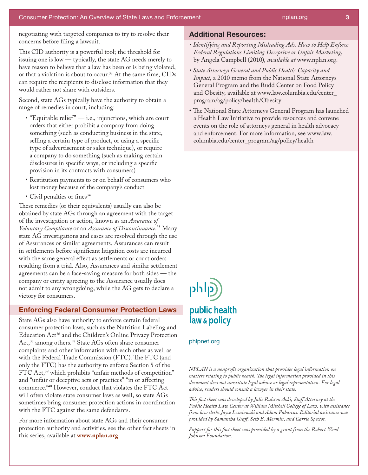negotiating with targeted companies to try to resolve their concerns before filing a lawsuit.

This CID authority is a powerful tool; the threshold for issuing one is low — typically, the state AG needs merely to have reason to believe that a law has been or is being violated, or that a violation is about to occur.<sup>33</sup> At the same time, CIDs can require the recipients to disclose information that they would rather not share with outsiders.

Second, state AGs typically have the authority to obtain a range of remedies in court, including:

- $\cdot$  "Equitable relief"  $-$  i.e., injunctions, which are court orders that either prohibit a company from doing something (such as conducting business in the state, selling a certain type of product, or using a specific type of advertisement or sales technique), or require a company to do something (such as making certain disclosures in specific ways, or including a specific provision in its contracts with consumers)
- • Restitution payments to or on behalf of consumers who lost money because of the company's conduct
- Civil penalties or fines<sup>34</sup>

These remedies (or their equivalents) usually can also be obtained by state AGs through an agreement with the target of the investigation or action, known as an *Assurance of Voluntary Compliance* or an *Assurance of Discontinuance*. <sup>35</sup> Many state AG investigations and cases are resolved through the use of Assurances or similar agreements. Assurances can result in settlements before significant litigation costs are incurred with the same general effect as settlements or court orders resulting from a trial. Also, Assurances and similar settlement agreements can be a face-saving measure for both sides — the company or entity agreeing to the Assurance usually does not admit to any wrongdoing, while the AG gets to declare a victory for consumers.

## **Enforcing Federal Consumer Protection Laws**

State AGs also have authority to enforce certain federal consumer protection laws, such as the Nutrition Labeling and Education Act<sup>36</sup> and the Children's Online Privacy Protection Act,<sup>37</sup> among others.<sup>38</sup> State AGs often share consumer complaints and other information with each other as well as with the Federal Trade Commission (FTC). The FTC (and only the FTC) has the authority to enforce Section 5 of the FTC Act,<sup>39</sup> which prohibits "unfair methods of competition" and "unfair or deceptive acts or practices" "in or affecting commerce."<sup>40</sup> However, conduct that violates the FTC Act will often violate state consumer laws as well, so state AGs sometimes bring consumer protection actions in coordination with the FTC against the same defendants.

For more information about state AGs and their consumer protection authority and activities, see the other fact sheets in this series, available at **www.nplan.org**.

## **Additional Resources:**

- *Identifying and Reporting Misleading Ads: How to Help Enforce Federal Regulations Limiting Deceptive or Unfair Marketing*, by Angela Campbell (2010), *available at* www.nplan.org.
- *State Attorneys General and Public Health: Capacity and Impact,* a 2010 memo from the National State Attorneys General Program and the Rudd Center on Food Policy and Obesity, available at www.law.columbia.edu/center\_ program/ag/policy/health/Obesity
- The National State Attorneys General Program has launched a Health Law Initiative to provide resources and convene events on the role of attorneys general in health advocacy and enforcement. For more information, see www.law. columbia.edu/center\_program/ag/policy/health



### phlpnet.org

*NPLAN is a nonprofit organization that provides legal information on matters relating to public health. The legal information provided in this document does not constitute legal advice or legal representation. For legal advice, readers should consult a lawyer in their state.*

*This fact sheet was developed by Julie Ralston Aoki, Staff Attorney at the Public Health Law Center at William Mitchell College of Law, with assistance from law clerks Jayce Lesniewski and Adam Pabarcus. Editorial assistance was provided by Samantha Graff, Seth E. Mermin, and Carrie Spector.*

*Support for this fact sheet was provided by a grant from the Robert Wood Johnson Foundation.*